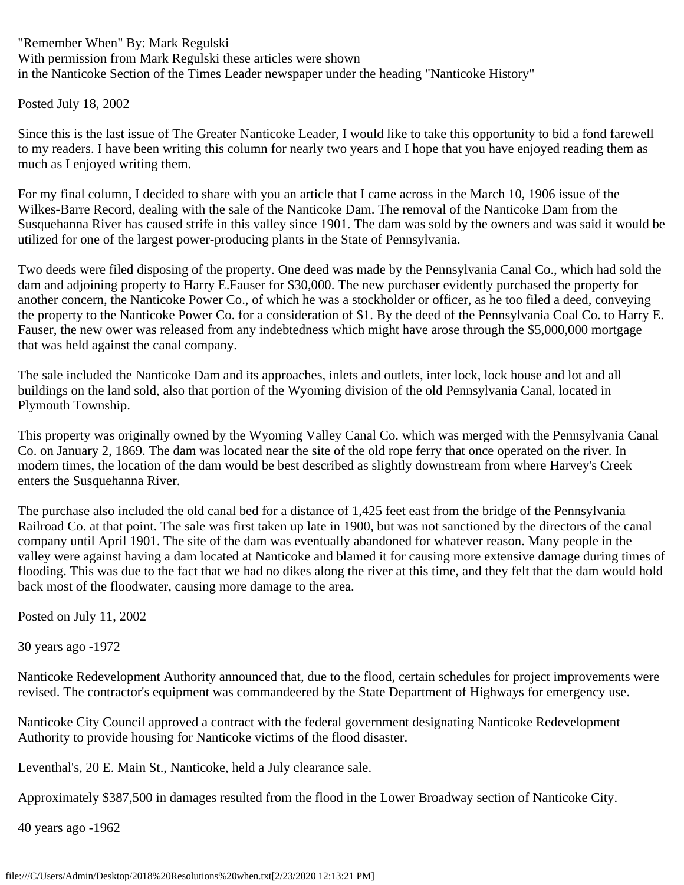"Remember When" By: Mark Regulski With permission from Mark Regulski these articles were shown in the Nanticoke Section of the Times Leader newspaper under the heading "Nanticoke History"

Posted July 18, 2002

Since this is the last issue of The Greater Nanticoke Leader, I would like to take this opportunity to bid a fond farewell to my readers. I have been writing this column for nearly two years and I hope that you have enjoyed reading them as much as I enjoyed writing them.

For my final column, I decided to share with you an article that I came across in the March 10, 1906 issue of the Wilkes-Barre Record, dealing with the sale of the Nanticoke Dam. The removal of the Nanticoke Dam from the Susquehanna River has caused strife in this valley since 1901. The dam was sold by the owners and was said it would be utilized for one of the largest power-producing plants in the State of Pennsylvania.

Two deeds were filed disposing of the property. One deed was made by the Pennsylvania Canal Co., which had sold the dam and adjoining property to Harry E.Fauser for \$30,000. The new purchaser evidently purchased the property for another concern, the Nanticoke Power Co., of which he was a stockholder or officer, as he too filed a deed, conveying the property to the Nanticoke Power Co. for a consideration of \$1. By the deed of the Pennsylvania Coal Co. to Harry E. Fauser, the new ower was released from any indebtedness which might have arose through the \$5,000,000 mortgage that was held against the canal company.

The sale included the Nanticoke Dam and its approaches, inlets and outlets, inter lock, lock house and lot and all buildings on the land sold, also that portion of the Wyoming division of the old Pennsylvania Canal, located in Plymouth Township.

This property was originally owned by the Wyoming Valley Canal Co. which was merged with the Pennsylvania Canal Co. on January 2, 1869. The dam was located near the site of the old rope ferry that once operated on the river. In modern times, the location of the dam would be best described as slightly downstream from where Harvey's Creek enters the Susquehanna River.

The purchase also included the old canal bed for a distance of 1,425 feet east from the bridge of the Pennsylvania Railroad Co. at that point. The sale was first taken up late in 1900, but was not sanctioned by the directors of the canal company until April 1901. The site of the dam was eventually abandoned for whatever reason. Many people in the valley were against having a dam located at Nanticoke and blamed it for causing more extensive damage during times of flooding. This was due to the fact that we had no dikes along the river at this time, and they felt that the dam would hold back most of the floodwater, causing more damage to the area.

Posted on July 11, 2002

30 years ago -1972

Nanticoke Redevelopment Authority announced that, due to the flood, certain schedules for project improvements were revised. The contractor's equipment was commandeered by the State Department of Highways for emergency use.

Nanticoke City Council approved a contract with the federal government designating Nanticoke Redevelopment Authority to provide housing for Nanticoke victims of the flood disaster.

Leventhal's, 20 E. Main St., Nanticoke, held a July clearance sale.

Approximately \$387,500 in damages resulted from the flood in the Lower Broadway section of Nanticoke City.

40 years ago -1962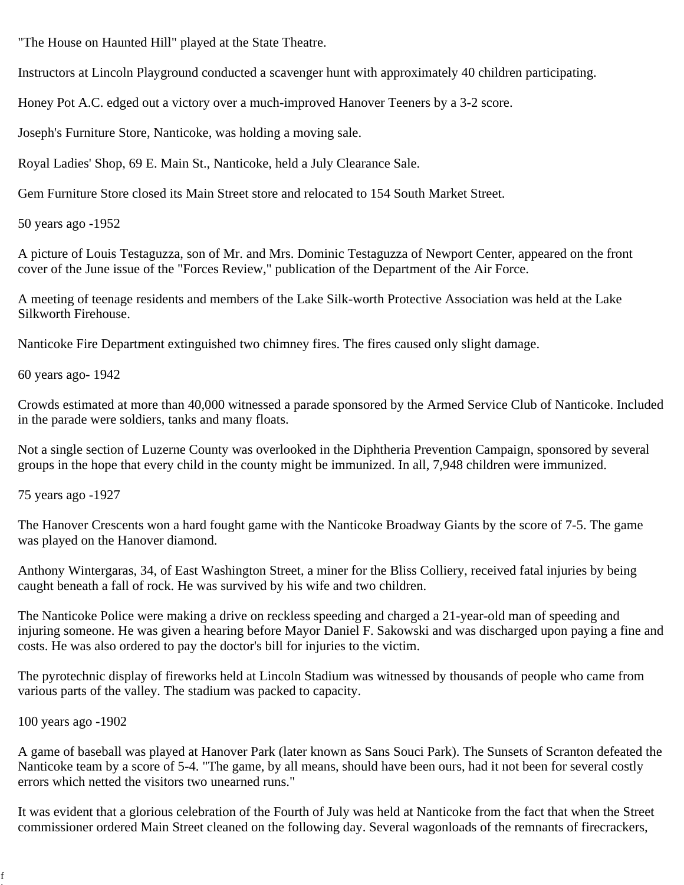"The House on Haunted Hill" played at the State Theatre.

Instructors at Lincoln Playground conducted a scavenger hunt with approximately 40 children participating.

Honey Pot A.C. edged out a victory over a much-improved Hanover Teeners by a 3-2 score.

Joseph's Furniture Store, Nanticoke, was holding a moving sale.

Royal Ladies' Shop, 69 E. Main St., Nanticoke, held a July Clearance Sale.

Gem Furniture Store closed its Main Street store and relocated to 154 South Market Street.

50 years ago -1952

A picture of Louis Testaguzza, son of Mr. and Mrs. Dominic Testaguzza of Newport Center, appeared on the front cover of the June issue of the "Forces Review," publication of the Department of the Air Force.

A meeting of teenage residents and members of the Lake Silk-worth Protective Association was held at the Lake Silkworth Firehouse.

Nanticoke Fire Department extinguished two chimney fires. The fires caused only slight damage.

60 years ago- 1942

Crowds estimated at more than 40,000 witnessed a parade sponsored by the Armed Service Club of Nanticoke. Included in the parade were soldiers, tanks and many floats.

Not a single section of Luzerne County was overlooked in the Diphtheria Prevention Campaign, sponsored by several groups in the hope that every child in the county might be immunized. In all, 7,948 children were immunized.

75 years ago -1927

The Hanover Crescents won a hard fought game with the Nanticoke Broadway Giants by the score of 7-5. The game was played on the Hanover diamond.

Anthony Wintergaras, 34, of East Washington Street, a miner for the Bliss Colliery, received fatal injuries by being caught beneath a fall of rock. He was survived by his wife and two children.

The Nanticoke Police were making a drive on reckless speeding and charged a 21-year-old man of speeding and injuring someone. He was given a hearing before Mayor Daniel F. Sakowski and was discharged upon paying a fine and costs. He was also ordered to pay the doctor's bill for injuries to the victim.

The pyrotechnic display of fireworks held at Lincoln Stadium was witnessed by thousands of people who came from various parts of the valley. The stadium was packed to capacity.

100 years ago -1902

f

A game of baseball was played at Hanover Park (later known as Sans Souci Park). The Sunsets of Scranton defeated the Nanticoke team by a score of 5-4. "The game, by all means, should have been ours, had it not been for several costly errors which netted the visitors two unearned runs."

It was evident that a glorious celebration of the Fourth of July was held at Nanticoke from the fact that when the Street commissioner ordered Main Street cleaned on the following day. Several wagonloads of the remnants of firecrackers,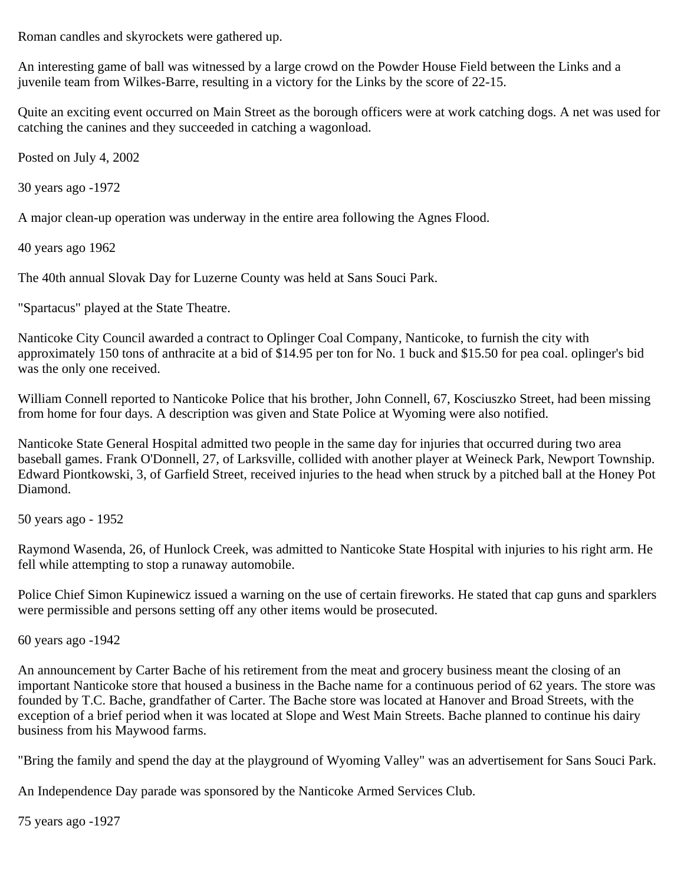Roman candles and skyrockets were gathered up.

An interesting game of ball was witnessed by a large crowd on the Powder House Field between the Links and a juvenile team from Wilkes-Barre, resulting in a victory for the Links by the score of 22-15.

Quite an exciting event occurred on Main Street as the borough officers were at work catching dogs. A net was used for catching the canines and they succeeded in catching a wagonload.

Posted on July 4, 2002

30 years ago -1972

A major clean-up operation was underway in the entire area following the Agnes Flood.

40 years ago 1962

The 40th annual Slovak Day for Luzerne County was held at Sans Souci Park.

"Spartacus" played at the State Theatre.

Nanticoke City Council awarded a contract to Oplinger Coal Company, Nanticoke, to furnish the city with approximately 150 tons of anthracite at a bid of \$14.95 per ton for No. 1 buck and \$15.50 for pea coal. oplinger's bid was the only one received.

William Connell reported to Nanticoke Police that his brother, John Connell, 67, Kosciuszko Street, had been missing from home for four days. A description was given and State Police at Wyoming were also notified.

Nanticoke State General Hospital admitted two people in the same day for injuries that occurred during two area baseball games. Frank O'Donnell, 27, of Larksville, collided with another player at Weineck Park, Newport Township. Edward Piontkowski, 3, of Garfield Street, received injuries to the head when struck by a pitched ball at the Honey Pot Diamond.

50 years ago - 1952

Raymond Wasenda, 26, of Hunlock Creek, was admitted to Nanticoke State Hospital with injuries to his right arm. He fell while attempting to stop a runaway automobile.

Police Chief Simon Kupinewicz issued a warning on the use of certain fireworks. He stated that cap guns and sparklers were permissible and persons setting off any other items would be prosecuted.

60 years ago -1942

An announcement by Carter Bache of his retirement from the meat and grocery business meant the closing of an important Nanticoke store that housed a business in the Bache name for a continuous period of 62 years. The store was founded by T.C. Bache, grandfather of Carter. The Bache store was located at Hanover and Broad Streets, with the exception of a brief period when it was located at Slope and West Main Streets. Bache planned to continue his dairy business from his Maywood farms.

"Bring the family and spend the day at the playground of Wyoming Valley" was an advertisement for Sans Souci Park.

An Independence Day parade was sponsored by the Nanticoke Armed Services Club.

75 years ago -1927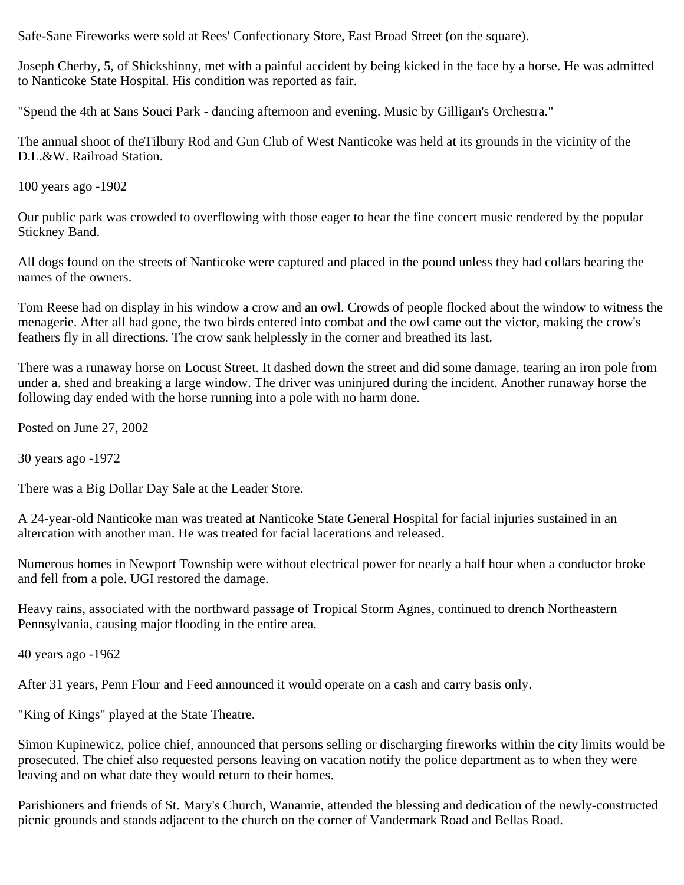Safe-Sane Fireworks were sold at Rees' Confectionary Store, East Broad Street (on the square).

Joseph Cherby, 5, of Shickshinny, met with a painful accident by being kicked in the face by a horse. He was admitted to Nanticoke State Hospital. His condition was reported as fair.

"Spend the 4th at Sans Souci Park - dancing afternoon and evening. Music by Gilligan's Orchestra."

The annual shoot of theTilbury Rod and Gun Club of West Nanticoke was held at its grounds in the vicinity of the D.L.&W. Railroad Station.

100 years ago -1902

Our public park was crowded to overflowing with those eager to hear the fine concert music rendered by the popular Stickney Band.

All dogs found on the streets of Nanticoke were captured and placed in the pound unless they had collars bearing the names of the owners.

Tom Reese had on display in his window a crow and an owl. Crowds of people flocked about the window to witness the menagerie. After all had gone, the two birds entered into combat and the owl came out the victor, making the crow's feathers fly in all directions. The crow sank helplessly in the corner and breathed its last.

There was a runaway horse on Locust Street. It dashed down the street and did some damage, tearing an iron pole from under a. shed and breaking a large window. The driver was uninjured during the incident. Another runaway horse the following day ended with the horse running into a pole with no harm done.

Posted on June 27, 2002

30 years ago -1972

There was a Big Dollar Day Sale at the Leader Store.

A 24-year-old Nanticoke man was treated at Nanticoke State General Hospital for facial injuries sustained in an altercation with another man. He was treated for facial lacerations and released.

Numerous homes in Newport Township were without electrical power for nearly a half hour when a conductor broke and fell from a pole. UGI restored the damage.

Heavy rains, associated with the northward passage of Tropical Storm Agnes, continued to drench Northeastern Pennsylvania, causing major flooding in the entire area.

40 years ago -1962

After 31 years, Penn Flour and Feed announced it would operate on a cash and carry basis only.

"King of Kings" played at the State Theatre.

Simon Kupinewicz, police chief, announced that persons selling or discharging fireworks within the city limits would be prosecuted. The chief also requested persons leaving on vacation notify the police department as to when they were leaving and on what date they would return to their homes.

Parishioners and friends of St. Mary's Church, Wanamie, attended the blessing and dedication of the newly-constructed picnic grounds and stands adjacent to the church on the corner of Vandermark Road and Bellas Road.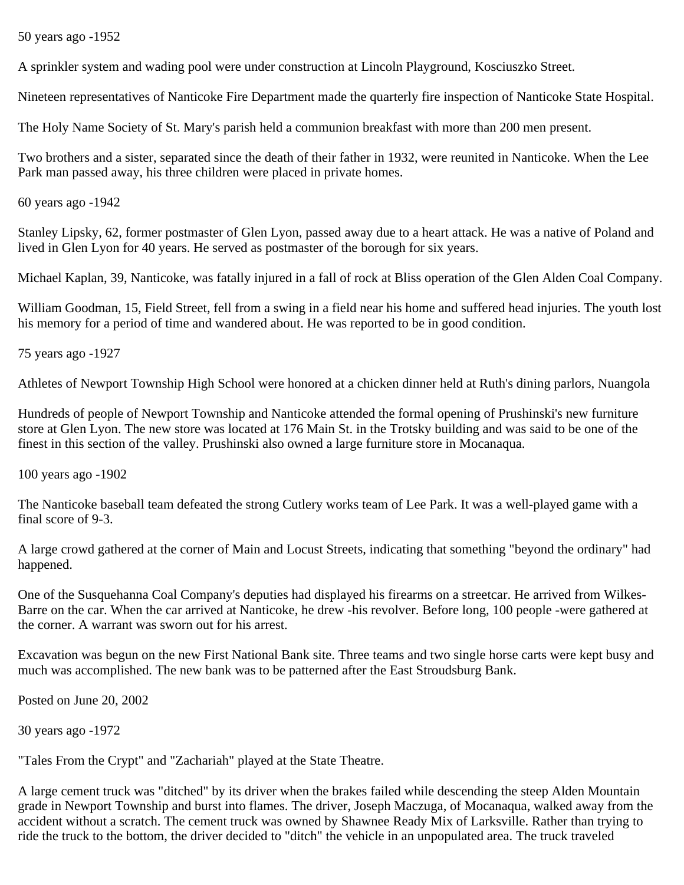50 years ago -1952

A sprinkler system and wading pool were under construction at Lincoln Playground, Kosciuszko Street.

Nineteen representatives of Nanticoke Fire Department made the quarterly fire inspection of Nanticoke State Hospital.

The Holy Name Society of St. Mary's parish held a communion breakfast with more than 200 men present.

Two brothers and a sister, separated since the death of their father in 1932, were reunited in Nanticoke. When the Lee Park man passed away, his three children were placed in private homes.

60 years ago -1942

Stanley Lipsky, 62, former postmaster of Glen Lyon, passed away due to a heart attack. He was a native of Poland and lived in Glen Lyon for 40 years. He served as postmaster of the borough for six years.

Michael Kaplan, 39, Nanticoke, was fatally injured in a fall of rock at Bliss operation of the Glen Alden Coal Company.

William Goodman, 15, Field Street, fell from a swing in a field near his home and suffered head injuries. The youth lost his memory for a period of time and wandered about. He was reported to be in good condition.

75 years ago -1927

Athletes of Newport Township High School were honored at a chicken dinner held at Ruth's dining parlors, Nuangola

Hundreds of people of Newport Township and Nanticoke attended the formal opening of Prushinski's new furniture store at Glen Lyon. The new store was located at 176 Main St. in the Trotsky building and was said to be one of the finest in this section of the valley. Prushinski also owned a large furniture store in Mocanaqua.

100 years ago -1902

The Nanticoke baseball team defeated the strong Cutlery works team of Lee Park. It was a well-played game with a final score of 9-3.

A large crowd gathered at the corner of Main and Locust Streets, indicating that something "beyond the ordinary" had happened.

One of the Susquehanna Coal Company's deputies had displayed his firearms on a streetcar. He arrived from Wilkes-Barre on the car. When the car arrived at Nanticoke, he drew -his revolver. Before long, 100 people -were gathered at the corner. A warrant was sworn out for his arrest.

Excavation was begun on the new First National Bank site. Three teams and two single horse carts were kept busy and much was accomplished. The new bank was to be patterned after the East Stroudsburg Bank.

Posted on June 20, 2002

30 years ago -1972

"Tales From the Crypt" and "Zachariah" played at the State Theatre.

A large cement truck was "ditched" by its driver when the brakes failed while descending the steep Alden Mountain grade in Newport Township and burst into flames. The driver, Joseph Maczuga, of Mocanaqua, walked away from the accident without a scratch. The cement truck was owned by Shawnee Ready Mix of Larksville. Rather than trying to ride the truck to the bottom, the driver decided to "ditch" the vehicle in an unpopulated area. The truck traveled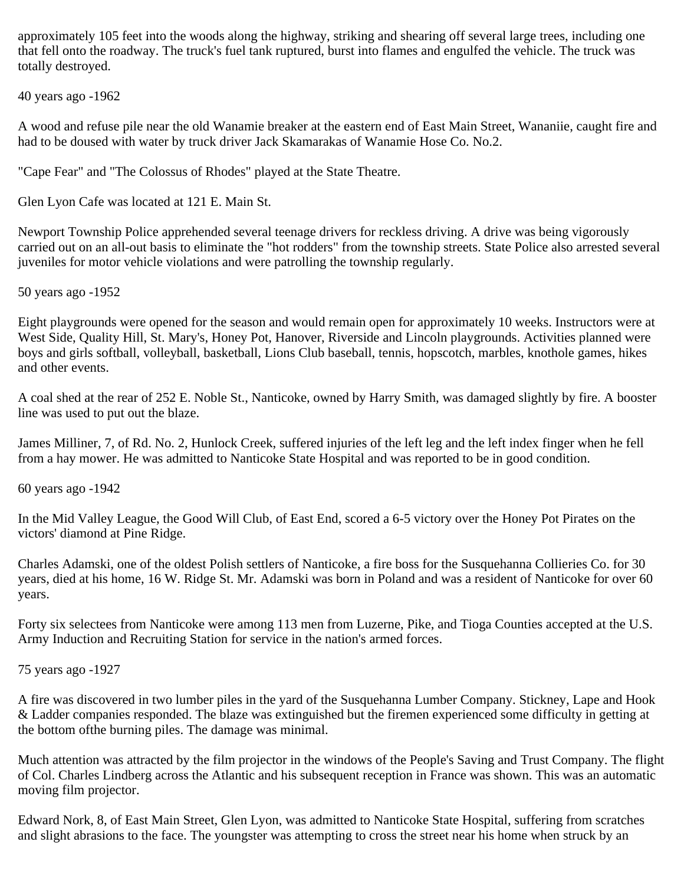approximately 105 feet into the woods along the highway, striking and shearing off several large trees, including one that fell onto the roadway. The truck's fuel tank ruptured, burst into flames and engulfed the vehicle. The truck was totally destroyed.

40 years ago -1962

A wood and refuse pile near the old Wanamie breaker at the eastern end of East Main Street, Wananiie, caught fire and had to be doused with water by truck driver Jack Skamarakas of Wanamie Hose Co. No.2.

"Cape Fear" and "The Colossus of Rhodes" played at the State Theatre.

Glen Lyon Cafe was located at 121 E. Main St.

Newport Township Police apprehended several teenage drivers for reckless driving. A drive was being vigorously carried out on an all-out basis to eliminate the "hot rodders" from the township streets. State Police also arrested several juveniles for motor vehicle violations and were patrolling the township regularly.

50 years ago -1952

Eight playgrounds were opened for the season and would remain open for approximately 10 weeks. Instructors were at West Side, Quality Hill, St. Mary's, Honey Pot, Hanover, Riverside and Lincoln playgrounds. Activities planned were boys and girls softball, volleyball, basketball, Lions Club baseball, tennis, hopscotch, marbles, knothole games, hikes and other events.

A coal shed at the rear of 252 E. Noble St., Nanticoke, owned by Harry Smith, was damaged slightly by fire. A booster line was used to put out the blaze.

James Milliner, 7, of Rd. No. 2, Hunlock Creek, suffered injuries of the left leg and the left index finger when he fell from a hay mower. He was admitted to Nanticoke State Hospital and was reported to be in good condition.

60 years ago -1942

In the Mid Valley League, the Good Will Club, of East End, scored a 6-5 victory over the Honey Pot Pirates on the victors' diamond at Pine Ridge.

Charles Adamski, one of the oldest Polish settlers of Nanticoke, a fire boss for the Susquehanna Collieries Co. for 30 years, died at his home, 16 W. Ridge St. Mr. Adamski was born in Poland and was a resident of Nanticoke for over 60 years.

Forty six selectees from Nanticoke were among 113 men from Luzerne, Pike, and Tioga Counties accepted at the U.S. Army Induction and Recruiting Station for service in the nation's armed forces.

75 years ago -1927

A fire was discovered in two lumber piles in the yard of the Susquehanna Lumber Company. Stickney, Lape and Hook & Ladder companies responded. The blaze was extinguished but the firemen experienced some difficulty in getting at the bottom ofthe burning piles. The damage was minimal.

Much attention was attracted by the film projector in the windows of the People's Saving and Trust Company. The flight of Col. Charles Lindberg across the Atlantic and his subsequent reception in France was shown. This was an automatic moving film projector.

Edward Nork, 8, of East Main Street, Glen Lyon, was admitted to Nanticoke State Hospital, suffering from scratches and slight abrasions to the face. The youngster was attempting to cross the street near his home when struck by an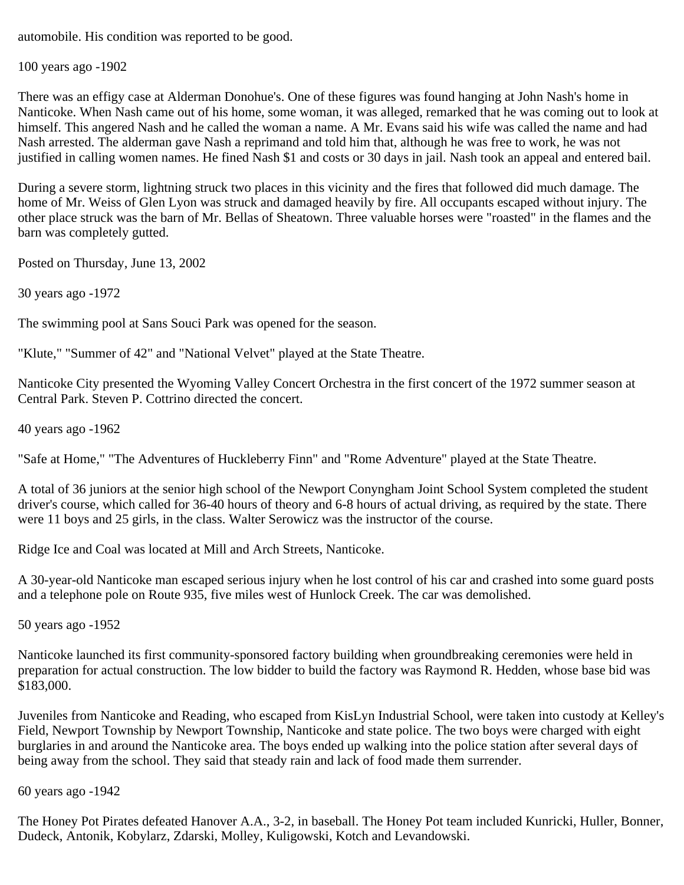automobile. His condition was reported to be good.

100 years ago -1902

There was an effigy case at Alderman Donohue's. One of these figures was found hanging at John Nash's home in Nanticoke. When Nash came out of his home, some woman, it was alleged, remarked that he was coming out to look at himself. This angered Nash and he called the woman a name. A Mr. Evans said his wife was called the name and had Nash arrested. The alderman gave Nash a reprimand and told him that, although he was free to work, he was not justified in calling women names. He fined Nash \$1 and costs or 30 days in jail. Nash took an appeal and entered bail.

During a severe storm, lightning struck two places in this vicinity and the fires that followed did much damage. The home of Mr. Weiss of Glen Lyon was struck and damaged heavily by fire. All occupants escaped without injury. The other place struck was the barn of Mr. Bellas of Sheatown. Three valuable horses were "roasted" in the flames and the barn was completely gutted.

Posted on Thursday, June 13, 2002

30 years ago -1972

The swimming pool at Sans Souci Park was opened for the season.

"Klute," "Summer of 42" and "National Velvet" played at the State Theatre.

Nanticoke City presented the Wyoming Valley Concert Orchestra in the first concert of the 1972 summer season at Central Park. Steven P. Cottrino directed the concert.

40 years ago -1962

"Safe at Home," "The Adventures of Huckleberry Finn" and "Rome Adventure" played at the State Theatre.

A total of 36 juniors at the senior high school of the Newport Conyngham Joint School System completed the student driver's course, which called for 36-40 hours of theory and 6-8 hours of actual driving, as required by the state. There were 11 boys and 25 girls, in the class. Walter Serowicz was the instructor of the course.

Ridge Ice and Coal was located at Mill and Arch Streets, Nanticoke.

A 30-year-old Nanticoke man escaped serious injury when he lost control of his car and crashed into some guard posts and a telephone pole on Route 935, five miles west of Hunlock Creek. The car was demolished.

50 years ago -1952

Nanticoke launched its first community-sponsored factory building when groundbreaking ceremonies were held in preparation for actual construction. The low bidder to build the factory was Raymond R. Hedden, whose base bid was \$183,000.

Juveniles from Nanticoke and Reading, who escaped from KisLyn Industrial School, were taken into custody at Kelley's Field, Newport Township by Newport Township, Nanticoke and state police. The two boys were charged with eight burglaries in and around the Nanticoke area. The boys ended up walking into the police station after several days of being away from the school. They said that steady rain and lack of food made them surrender.

60 years ago -1942

The Honey Pot Pirates defeated Hanover A.A., 3-2, in baseball. The Honey Pot team included Kunricki, Huller, Bonner, Dudeck, Antonik, Kobylarz, Zdarski, Molley, Kuligowski, Kotch and Levandowski.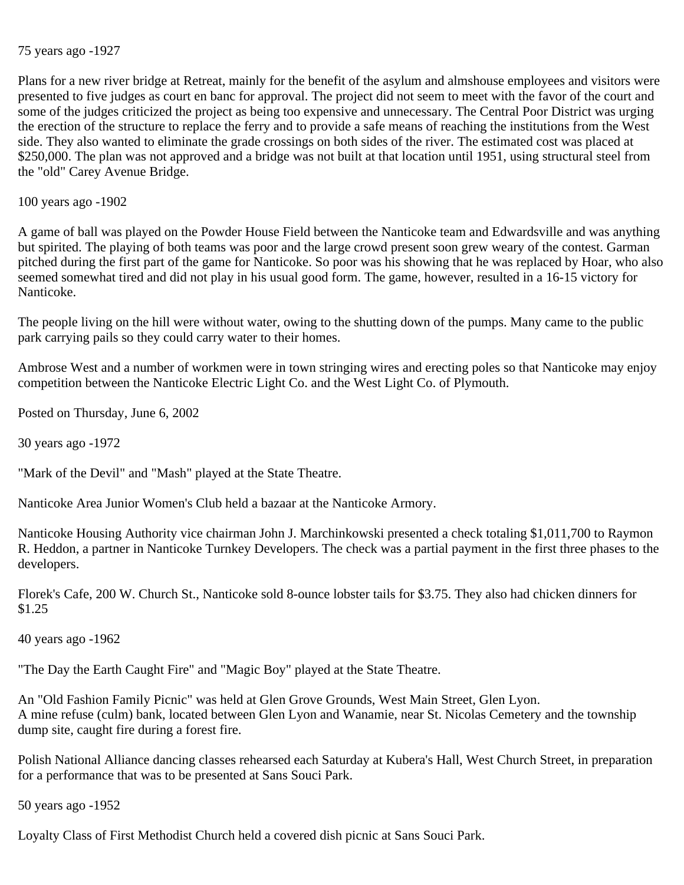## 75 years ago -1927

Plans for a new river bridge at Retreat, mainly for the benefit of the asylum and almshouse employees and visitors were presented to five judges as court en banc for approval. The project did not seem to meet with the favor of the court and some of the judges criticized the project as being too expensive and unnecessary. The Central Poor District was urging the erection of the structure to replace the ferry and to provide a safe means of reaching the institutions from the West side. They also wanted to eliminate the grade crossings on both sides of the river. The estimated cost was placed at \$250,000. The plan was not approved and a bridge was not built at that location until 1951, using structural steel from the "old" Carey Avenue Bridge.

100 years ago -1902

A game of ball was played on the Powder House Field between the Nanticoke team and Edwardsville and was anything but spirited. The playing of both teams was poor and the large crowd present soon grew weary of the contest. Garman pitched during the first part of the game for Nanticoke. So poor was his showing that he was replaced by Hoar, who also seemed somewhat tired and did not play in his usual good form. The game, however, resulted in a 16-15 victory for Nanticoke.

The people living on the hill were without water, owing to the shutting down of the pumps. Many came to the public park carrying pails so they could carry water to their homes.

Ambrose West and a number of workmen were in town stringing wires and erecting poles so that Nanticoke may enjoy competition between the Nanticoke Electric Light Co. and the West Light Co. of Plymouth.

Posted on Thursday, June 6, 2002

30 years ago -1972

"Mark of the Devil" and "Mash" played at the State Theatre.

Nanticoke Area Junior Women's Club held a bazaar at the Nanticoke Armory.

Nanticoke Housing Authority vice chairman John J. Marchinkowski presented a check totaling \$1,011,700 to Raymon R. Heddon, a partner in Nanticoke Turnkey Developers. The check was a partial payment in the first three phases to the developers.

Florek's Cafe, 200 W. Church St., Nanticoke sold 8-ounce lobster tails for \$3.75. They also had chicken dinners for \$1.25

40 years ago -1962

"The Day the Earth Caught Fire" and "Magic Boy" played at the State Theatre.

An "Old Fashion Family Picnic" was held at Glen Grove Grounds, West Main Street, Glen Lyon. A mine refuse (culm) bank, located between Glen Lyon and Wanamie, near St. Nicolas Cemetery and the township dump site, caught fire during a forest fire.

Polish National Alliance dancing classes rehearsed each Saturday at Kubera's Hall, West Church Street, in preparation for a performance that was to be presented at Sans Souci Park.

50 years ago -1952

Loyalty Class of First Methodist Church held a covered dish picnic at Sans Souci Park.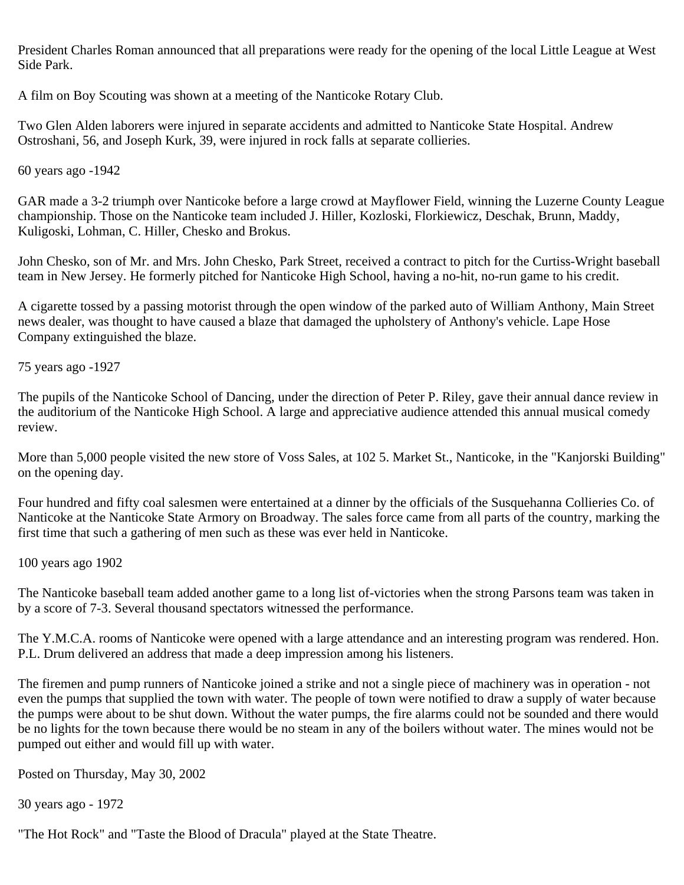President Charles Roman announced that all preparations were ready for the opening of the local Little League at West Side Park.

A film on Boy Scouting was shown at a meeting of the Nanticoke Rotary Club.

Two Glen Alden laborers were injured in separate accidents and admitted to Nanticoke State Hospital. Andrew Ostroshani, 56, and Joseph Kurk, 39, were injured in rock falls at separate collieries.

60 years ago -1942

GAR made a 3-2 triumph over Nanticoke before a large crowd at Mayflower Field, winning the Luzerne County League championship. Those on the Nanticoke team included J. Hiller, Kozloski, Florkiewicz, Deschak, Brunn, Maddy, Kuligoski, Lohman, C. Hiller, Chesko and Brokus.

John Chesko, son of Mr. and Mrs. John Chesko, Park Street, received a contract to pitch for the Curtiss-Wright baseball team in New Jersey. He formerly pitched for Nanticoke High School, having a no-hit, no-run game to his credit.

A cigarette tossed by a passing motorist through the open window of the parked auto of William Anthony, Main Street news dealer, was thought to have caused a blaze that damaged the upholstery of Anthony's vehicle. Lape Hose Company extinguished the blaze.

75 years ago -1927

The pupils of the Nanticoke School of Dancing, under the direction of Peter P. Riley, gave their annual dance review in the auditorium of the Nanticoke High School. A large and appreciative audience attended this annual musical comedy review.

More than 5,000 people visited the new store of Voss Sales, at 102 5. Market St., Nanticoke, in the "Kanjorski Building" on the opening day.

Four hundred and fifty coal salesmen were entertained at a dinner by the officials of the Susquehanna Collieries Co. of Nanticoke at the Nanticoke State Armory on Broadway. The sales force came from all parts of the country, marking the first time that such a gathering of men such as these was ever held in Nanticoke.

100 years ago 1902

The Nanticoke baseball team added another game to a long list of-victories when the strong Parsons team was taken in by a score of 7-3. Several thousand spectators witnessed the performance.

The Y.M.C.A. rooms of Nanticoke were opened with a large attendance and an interesting program was rendered. Hon. P.L. Drum delivered an address that made a deep impression among his listeners.

The firemen and pump runners of Nanticoke joined a strike and not a single piece of machinery was in operation - not even the pumps that supplied the town with water. The people of town were notified to draw a supply of water because the pumps were about to be shut down. Without the water pumps, the fire alarms could not be sounded and there would be no lights for the town because there would be no steam in any of the boilers without water. The mines would not be pumped out either and would fill up with water.

Posted on Thursday, May 30, 2002

30 years ago - 1972

"The Hot Rock" and "Taste the Blood of Dracula" played at the State Theatre.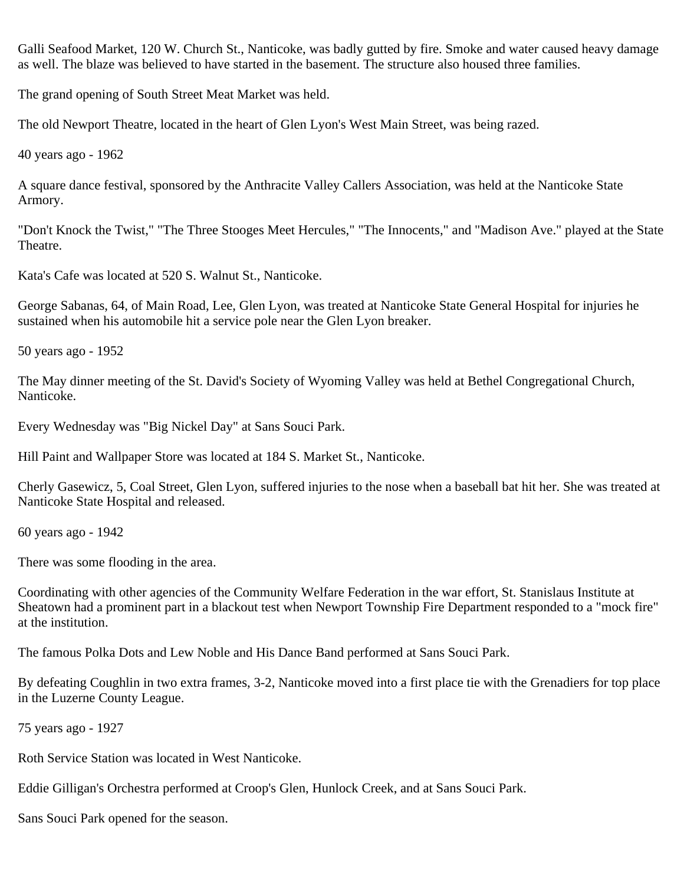Galli Seafood Market, 120 W. Church St., Nanticoke, was badly gutted by fire. Smoke and water caused heavy damage as well. The blaze was believed to have started in the basement. The structure also housed three families.

The grand opening of South Street Meat Market was held.

The old Newport Theatre, located in the heart of Glen Lyon's West Main Street, was being razed.

40 years ago - 1962

A square dance festival, sponsored by the Anthracite Valley Callers Association, was held at the Nanticoke State Armory.

"Don't Knock the Twist," "The Three Stooges Meet Hercules," "The Innocents," and "Madison Ave." played at the State Theatre.

Kata's Cafe was located at 520 S. Walnut St., Nanticoke.

George Sabanas, 64, of Main Road, Lee, Glen Lyon, was treated at Nanticoke State General Hospital for injuries he sustained when his automobile hit a service pole near the Glen Lyon breaker.

50 years ago - 1952

The May dinner meeting of the St. David's Society of Wyoming Valley was held at Bethel Congregational Church, Nanticoke.

Every Wednesday was "Big Nickel Day" at Sans Souci Park.

Hill Paint and Wallpaper Store was located at 184 S. Market St., Nanticoke.

Cherly Gasewicz, 5, Coal Street, Glen Lyon, suffered injuries to the nose when a baseball bat hit her. She was treated at Nanticoke State Hospital and released.

60 years ago - 1942

There was some flooding in the area.

Coordinating with other agencies of the Community Welfare Federation in the war effort, St. Stanislaus Institute at Sheatown had a prominent part in a blackout test when Newport Township Fire Department responded to a "mock fire" at the institution.

The famous Polka Dots and Lew Noble and His Dance Band performed at Sans Souci Park.

By defeating Coughlin in two extra frames, 3-2, Nanticoke moved into a first place tie with the Grenadiers for top place in the Luzerne County League.

75 years ago - 1927

Roth Service Station was located in West Nanticoke.

Eddie Gilligan's Orchestra performed at Croop's Glen, Hunlock Creek, and at Sans Souci Park.

Sans Souci Park opened for the season.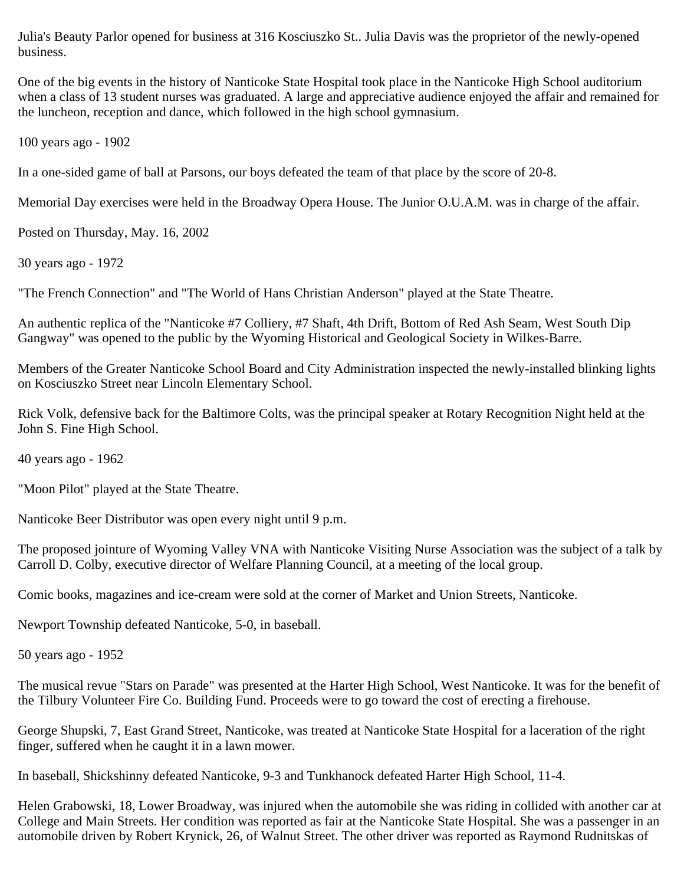Julia's Beauty Parlor opened for business at 316 Kosciuszko St.. Julia Davis was the proprietor of the newly-opened business.

One of the big events in the history of Nanticoke State Hospital took place in the Nanticoke High School auditorium when a class of 13 student nurses was graduated. A large and appreciative audience enjoyed the affair and remained for the luncheon, reception and dance, which followed in the high school gymnasium.

100 years ago - 1902

In a one-sided game of ball at Parsons, our boys defeated the team of that place by the score of 20-8.

Memorial Day exercises were held in the Broadway Opera House. The Junior O.U.A.M. was in charge of the affair.

Posted on Thursday, May. 16, 2002

30 years ago - 1972

"The French Connection" and "The World of Hans Christian Anderson" played at the State Theatre.

An authentic replica of the "Nanticoke #7 Colliery, #7 Shaft, 4th Drift, Bottom of Red Ash Seam, West South Dip Gangway" was opened to the public by the Wyoming Historical and Geological Society in Wilkes-Barre.

Members of the Greater Nanticoke School Board and City Administration inspected the newly-installed blinking lights on Kosciuszko Street near Lincoln Elementary School.

Rick Volk, defensive back for the Baltimore Colts, was the principal speaker at Rotary Recognition Night held at the John S. Fine High School.

40 years ago - 1962

"Moon Pilot" played at the State Theatre.

Nanticoke Beer Distributor was open every night until 9 p.m.

The proposed jointure of Wyoming Valley VNA with Nanticoke Visiting Nurse Association was the subject of a talk by Carroll D. Colby, executive director of Welfare Planning Council, at a meeting of the local group.

Comic books, magazines and ice-cream were sold at the corner of Market and Union Streets, Nanticoke.

Newport Township defeated Nanticoke, 5-0, in baseball.

50 years ago - 1952

The musical revue "Stars on Parade" was presented at the Harter High School, West Nanticoke. It was for the benefit of the Tilbury Volunteer Fire Co. Building Fund. Proceeds were to go toward the cost of erecting a firehouse.

George Shupski, 7, East Grand Street, Nanticoke, was treated at Nanticoke State Hospital for a laceration of the right finger, suffered when he caught it in a lawn mower.

In baseball, Shickshinny defeated Nanticoke, 9-3 and Tunkhanock defeated Harter High School, 11-4.

Helen Grabowski, 18, Lower Broadway, was injured when the automobile she was riding in collided with another car at College and Main Streets. Her condition was reported as fair at the Nanticoke State Hospital. She was a passenger in an automobile driven by Robert Krynick, 26, of Walnut Street. The other driver was reported as Raymond Rudnitskas of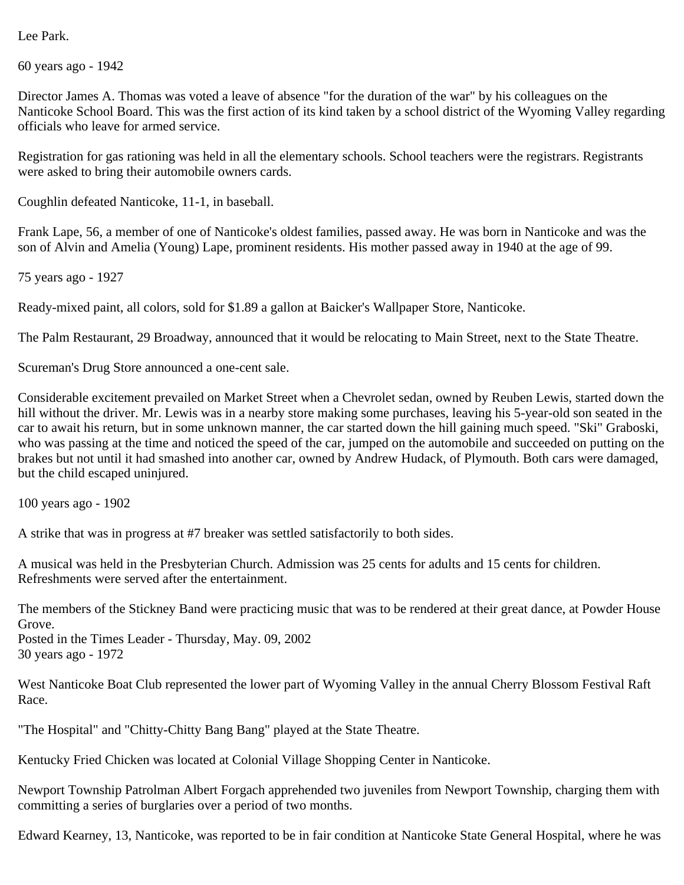Lee Park.

60 years ago - 1942

Director James A. Thomas was voted a leave of absence "for the duration of the war" by his colleagues on the Nanticoke School Board. This was the first action of its kind taken by a school district of the Wyoming Valley regarding officials who leave for armed service.

Registration for gas rationing was held in all the elementary schools. School teachers were the registrars. Registrants were asked to bring their automobile owners cards.

Coughlin defeated Nanticoke, 11-1, in baseball.

Frank Lape, 56, a member of one of Nanticoke's oldest families, passed away. He was born in Nanticoke and was the son of Alvin and Amelia (Young) Lape, prominent residents. His mother passed away in 1940 at the age of 99.

75 years ago - 1927

Ready-mixed paint, all colors, sold for \$1.89 a gallon at Baicker's Wallpaper Store, Nanticoke.

The Palm Restaurant, 29 Broadway, announced that it would be relocating to Main Street, next to the State Theatre.

Scureman's Drug Store announced a one-cent sale.

Considerable excitement prevailed on Market Street when a Chevrolet sedan, owned by Reuben Lewis, started down the hill without the driver. Mr. Lewis was in a nearby store making some purchases, leaving his 5-year-old son seated in the car to await his return, but in some unknown manner, the car started down the hill gaining much speed. "Ski" Graboski, who was passing at the time and noticed the speed of the car, jumped on the automobile and succeeded on putting on the brakes but not until it had smashed into another car, owned by Andrew Hudack, of Plymouth. Both cars were damaged, but the child escaped uninjured.

100 years ago - 1902

A strike that was in progress at #7 breaker was settled satisfactorily to both sides.

A musical was held in the Presbyterian Church. Admission was 25 cents for adults and 15 cents for children. Refreshments were served after the entertainment.

The members of the Stickney Band were practicing music that was to be rendered at their great dance, at Powder House Grove. Posted in the Times Leader - Thursday, May. 09, 2002

30 years ago - 1972

West Nanticoke Boat Club represented the lower part of Wyoming Valley in the annual Cherry Blossom Festival Raft Race.

"The Hospital" and "Chitty-Chitty Bang Bang" played at the State Theatre.

Kentucky Fried Chicken was located at Colonial Village Shopping Center in Nanticoke.

Newport Township Patrolman Albert Forgach apprehended two juveniles from Newport Township, charging them with committing a series of burglaries over a period of two months.

Edward Kearney, 13, Nanticoke, was reported to be in fair condition at Nanticoke State General Hospital, where he was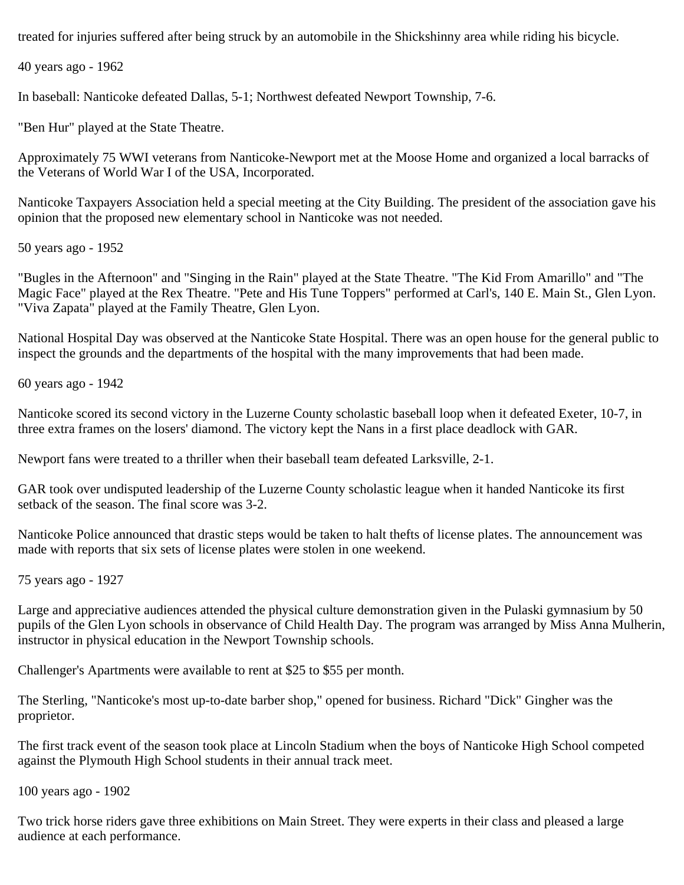treated for injuries suffered after being struck by an automobile in the Shickshinny area while riding his bicycle.

40 years ago - 1962

In baseball: Nanticoke defeated Dallas, 5-1; Northwest defeated Newport Township, 7-6.

"Ben Hur" played at the State Theatre.

Approximately 75 WWI veterans from Nanticoke-Newport met at the Moose Home and organized a local barracks of the Veterans of World War I of the USA, Incorporated.

Nanticoke Taxpayers Association held a special meeting at the City Building. The president of the association gave his opinion that the proposed new elementary school in Nanticoke was not needed.

50 years ago - 1952

"Bugles in the Afternoon" and "Singing in the Rain" played at the State Theatre. "The Kid From Amarillo" and "The Magic Face" played at the Rex Theatre. "Pete and His Tune Toppers" performed at Carl's, 140 E. Main St., Glen Lyon. "Viva Zapata" played at the Family Theatre, Glen Lyon.

National Hospital Day was observed at the Nanticoke State Hospital. There was an open house for the general public to inspect the grounds and the departments of the hospital with the many improvements that had been made.

60 years ago - 1942

Nanticoke scored its second victory in the Luzerne County scholastic baseball loop when it defeated Exeter, 10-7, in three extra frames on the losers' diamond. The victory kept the Nans in a first place deadlock with GAR.

Newport fans were treated to a thriller when their baseball team defeated Larksville, 2-1.

GAR took over undisputed leadership of the Luzerne County scholastic league when it handed Nanticoke its first setback of the season. The final score was 3-2.

Nanticoke Police announced that drastic steps would be taken to halt thefts of license plates. The announcement was made with reports that six sets of license plates were stolen in one weekend.

75 years ago - 1927

Large and appreciative audiences attended the physical culture demonstration given in the Pulaski gymnasium by 50 pupils of the Glen Lyon schools in observance of Child Health Day. The program was arranged by Miss Anna Mulherin, instructor in physical education in the Newport Township schools.

Challenger's Apartments were available to rent at \$25 to \$55 per month.

The Sterling, "Nanticoke's most up-to-date barber shop," opened for business. Richard "Dick" Gingher was the proprietor.

The first track event of the season took place at Lincoln Stadium when the boys of Nanticoke High School competed against the Plymouth High School students in their annual track meet.

100 years ago - 1902

Two trick horse riders gave three exhibitions on Main Street. They were experts in their class and pleased a large audience at each performance.